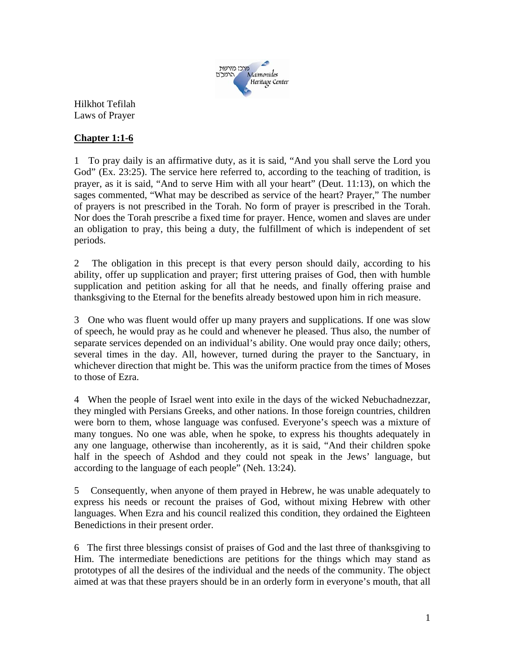

Hilkhot Tefilah Laws of Prayer

# **Chapter 1:1-6**

1 To pray daily is an affirmative duty, as it is said, "And you shall serve the Lord you God" (Ex. 23:25). The service here referred to, according to the teaching of tradition, is prayer, as it is said, "And to serve Him with all your heart" (Deut. 11:13), on which the sages commented, "What may be described as service of the heart? Prayer," The number of prayers is not prescribed in the Torah. No form of prayer is prescribed in the Torah. Nor does the Torah prescribe a fixed time for prayer. Hence, women and slaves are under an obligation to pray, this being a duty, the fulfillment of which is independent of set periods.

2 The obligation in this precept is that every person should daily, according to his ability, offer up supplication and prayer; first uttering praises of God, then with humble supplication and petition asking for all that he needs, and finally offering praise and thanksgiving to the Eternal for the benefits already bestowed upon him in rich measure.

3 One who was fluent would offer up many prayers and supplications. If one was slow of speech, he would pray as he could and whenever he pleased. Thus also, the number of separate services depended on an individual's ability. One would pray once daily; others, several times in the day. All, however, turned during the prayer to the Sanctuary, in whichever direction that might be. This was the uniform practice from the times of Moses to those of Ezra.

4 When the people of Israel went into exile in the days of the wicked Nebuchadnezzar, they mingled with Persians Greeks, and other nations. In those foreign countries, children were born to them, whose language was confused. Everyone's speech was a mixture of many tongues. No one was able, when he spoke, to express his thoughts adequately in any one language, otherwise than incoherently, as it is said, "And their children spoke half in the speech of Ashdod and they could not speak in the Jews' language, but according to the language of each people" (Neh. 13:24).

5 Consequently, when anyone of them prayed in Hebrew, he was unable adequately to express his needs or recount the praises of God, without mixing Hebrew with other languages. When Ezra and his council realized this condition, they ordained the Eighteen Benedictions in their present order.

6 The first three blessings consist of praises of God and the last three of thanksgiving to Him. The intermediate benedictions are petitions for the things which may stand as prototypes of all the desires of the individual and the needs of the community. The object aimed at was that these prayers should be in an orderly form in everyone's mouth, that all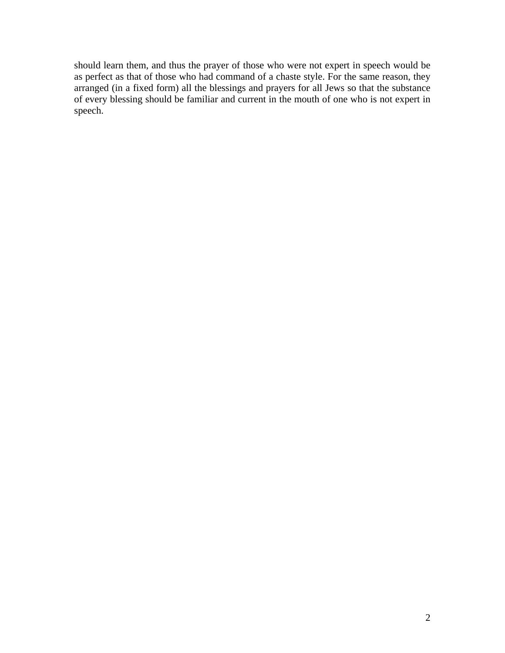should learn them, and thus the prayer of those who were not expert in speech would be as perfect as that of those who had command of a chaste style. For the same reason, they arranged (in a fixed form) all the blessings and prayers for all Jews so that the substance of every blessing should be familiar and current in the mouth of one who is not expert in speech.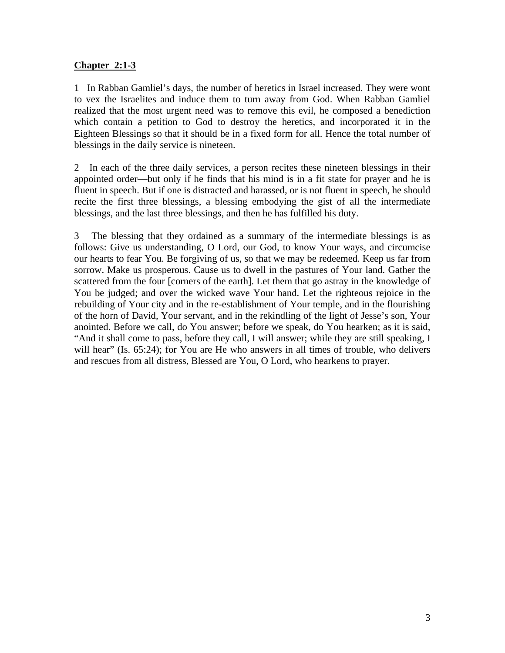## **Chapter 2:1-3**

1 In Rabban Gamliel's days, the number of heretics in Israel increased. They were wont to vex the Israelites and induce them to turn away from God. When Rabban Gamliel realized that the most urgent need was to remove this evil, he composed a benediction which contain a petition to God to destroy the heretics, and incorporated it in the Eighteen Blessings so that it should be in a fixed form for all. Hence the total number of blessings in the daily service is nineteen.

2 In each of the three daily services, a person recites these nineteen blessings in their appointed order—but only if he finds that his mind is in a fit state for prayer and he is fluent in speech. But if one is distracted and harassed, or is not fluent in speech, he should recite the first three blessings, a blessing embodying the gist of all the intermediate blessings, and the last three blessings, and then he has fulfilled his duty.

3 The blessing that they ordained as a summary of the intermediate blessings is as follows: Give us understanding, O Lord, our God, to know Your ways, and circumcise our hearts to fear You. Be forgiving of us, so that we may be redeemed. Keep us far from sorrow. Make us prosperous. Cause us to dwell in the pastures of Your land. Gather the scattered from the four [corners of the earth]. Let them that go astray in the knowledge of You be judged; and over the wicked wave Your hand. Let the righteous rejoice in the rebuilding of Your city and in the re-establishment of Your temple, and in the flourishing of the horn of David, Your servant, and in the rekindling of the light of Jesse's son, Your anointed. Before we call, do You answer; before we speak, do You hearken; as it is said, "And it shall come to pass, before they call, I will answer; while they are still speaking, I will hear" (Is. 65:24); for You are He who answers in all times of trouble, who delivers and rescues from all distress, Blessed are You, O Lord, who hearkens to prayer.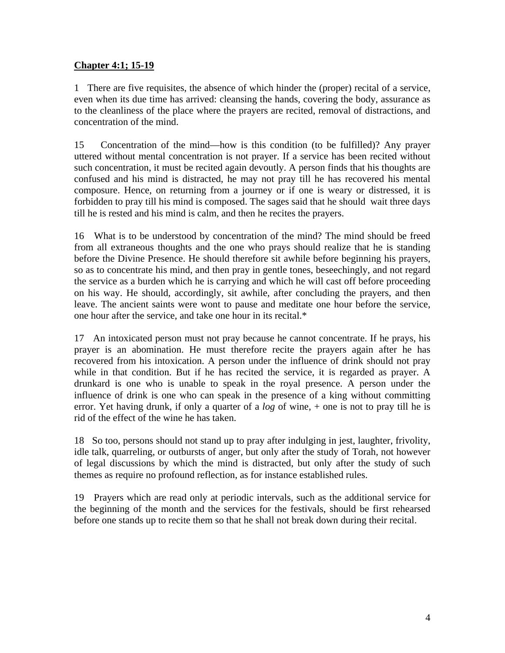## **Chapter 4:1; 15-19**

1 There are five requisites, the absence of which hinder the (proper) recital of a service, even when its due time has arrived: cleansing the hands, covering the body, assurance as to the cleanliness of the place where the prayers are recited, removal of distractions, and concentration of the mind.

15 Concentration of the mind—how is this condition (to be fulfilled)? Any prayer uttered without mental concentration is not prayer. If a service has been recited without such concentration, it must be recited again devoutly. A person finds that his thoughts are confused and his mind is distracted, he may not pray till he has recovered his mental composure. Hence, on returning from a journey or if one is weary or distressed, it is forbidden to pray till his mind is composed. The sages said that he should wait three days till he is rested and his mind is calm, and then he recites the prayers.

16 What is to be understood by concentration of the mind? The mind should be freed from all extraneous thoughts and the one who prays should realize that he is standing before the Divine Presence. He should therefore sit awhile before beginning his prayers, so as to concentrate his mind, and then pray in gentle tones, beseechingly, and not regard the service as a burden which he is carrying and which he will cast off before proceeding on his way. He should, accordingly, sit awhile, after concluding the prayers, and then leave. The ancient saints were wont to pause and meditate one hour before the service, one hour after the service, and take one hour in its recital.\*

17 An intoxicated person must not pray because he cannot concentrate. If he prays, his prayer is an abomination. He must therefore recite the prayers again after he has recovered from his intoxication. A person under the influence of drink should not pray while in that condition. But if he has recited the service, it is regarded as prayer. A drunkard is one who is unable to speak in the royal presence. A person under the influence of drink is one who can speak in the presence of a king without committing error. Yet having drunk, if only a quarter of a *log* of wine, + one is not to pray till he is rid of the effect of the wine he has taken.

18 So too, persons should not stand up to pray after indulging in jest, laughter, frivolity, idle talk, quarreling, or outbursts of anger, but only after the study of Torah, not however of legal discussions by which the mind is distracted, but only after the study of such themes as require no profound reflection, as for instance established rules.

19 Prayers which are read only at periodic intervals, such as the additional service for the beginning of the month and the services for the festivals, should be first rehearsed before one stands up to recite them so that he shall not break down during their recital.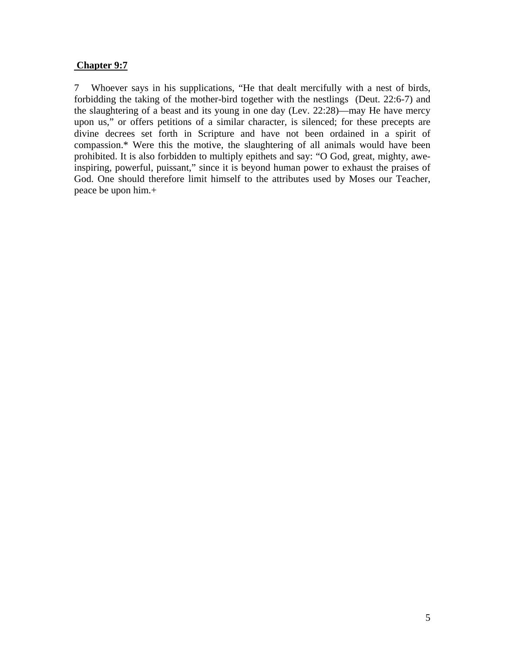### **Chapter 9:7**

7 Whoever says in his supplications, "He that dealt mercifully with a nest of birds, forbidding the taking of the mother-bird together with the nestlings (Deut. 22:6-7) and the slaughtering of a beast and its young in one day (Lev. 22:28)—may He have mercy upon us," or offers petitions of a similar character, is silenced; for these precepts are divine decrees set forth in Scripture and have not been ordained in a spirit of compassion.\* Were this the motive, the slaughtering of all animals would have been prohibited. It is also forbidden to multiply epithets and say: "O God, great, mighty, aweinspiring, powerful, puissant," since it is beyond human power to exhaust the praises of God. One should therefore limit himself to the attributes used by Moses our Teacher, peace be upon him.+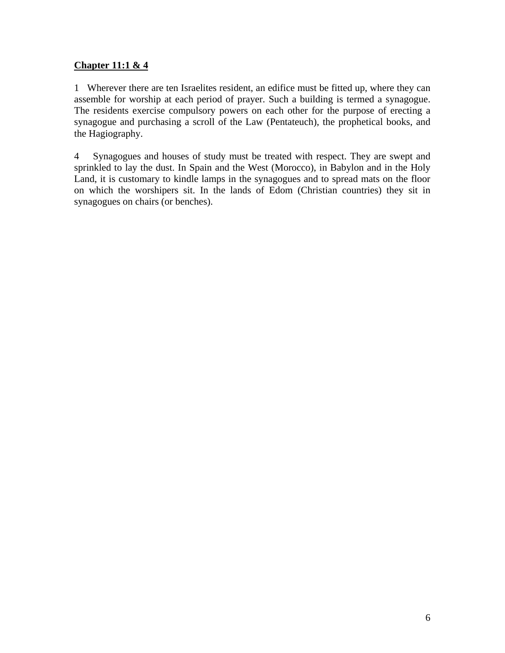## **Chapter 11:1 & 4**

1 Wherever there are ten Israelites resident, an edifice must be fitted up, where they can assemble for worship at each period of prayer. Such a building is termed a synagogue. The residents exercise compulsory powers on each other for the purpose of erecting a synagogue and purchasing a scroll of the Law (Pentateuch), the prophetical books, and the Hagiography.

4 Synagogues and houses of study must be treated with respect. They are swept and sprinkled to lay the dust. In Spain and the West (Morocco), in Babylon and in the Holy Land, it is customary to kindle lamps in the synagogues and to spread mats on the floor on which the worshipers sit. In the lands of Edom (Christian countries) they sit in synagogues on chairs (or benches).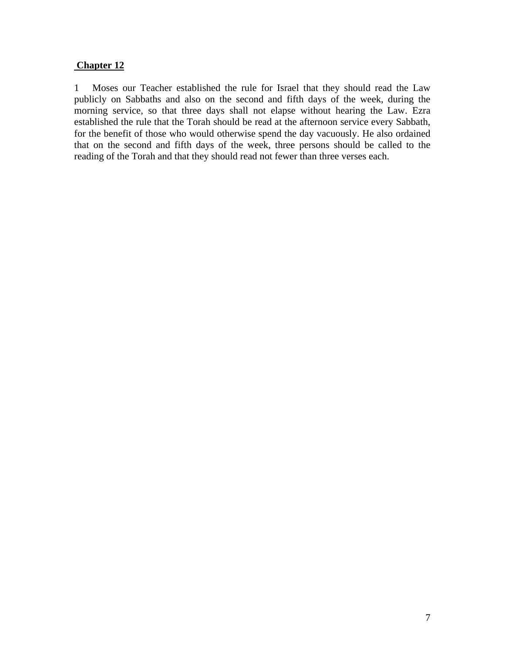### **Chapter 12**

1 Moses our Teacher established the rule for Israel that they should read the Law publicly on Sabbaths and also on the second and fifth days of the week, during the morning service, so that three days shall not elapse without hearing the Law. Ezra established the rule that the Torah should be read at the afternoon service every Sabbath, for the benefit of those who would otherwise spend the day vacuously. He also ordained that on the second and fifth days of the week, three persons should be called to the reading of the Torah and that they should read not fewer than three verses each.